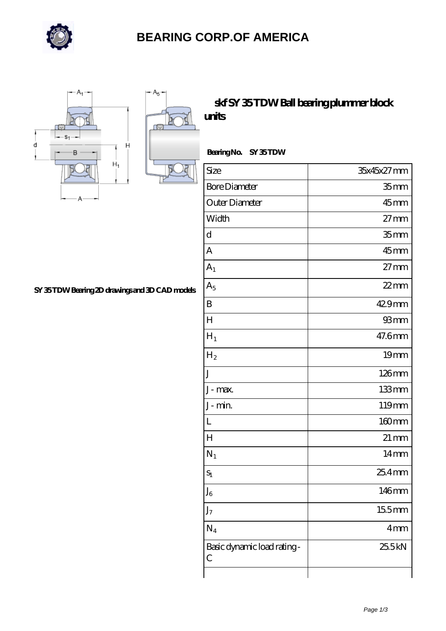

## **[BEARING CORP.OF AMERICA](https://richiecusick.com)**



 $+A_5+$ 

## **[skf SY 35 TDW Ball bearing plummer block](https://richiecusick.com/aw-64955428-skf-sy-35-tdw-ball-bearing-plummer-block-units.html) [units](https://richiecusick.com/aw-64955428-skf-sy-35-tdw-ball-bearing-plummer-block-units.html)**

 **Bearing No. SY 35 TDW**

| Size                                        | 35x45x27mm         |
|---------------------------------------------|--------------------|
| <b>Bore Diameter</b>                        | 35 <sub>mm</sub>   |
| Outer Diameter                              | $45$ mm            |
| Width                                       | $27 \text{mm}$     |
| $\mathbf d$                                 | 35 <sub>mm</sub>   |
| A                                           | 45mm               |
| $A_1$                                       | $27 \text{mm}$     |
| $A_5$                                       | $22$ mm            |
| $\boldsymbol{B}$                            | 429mm              |
| $H_{\rm}$                                   | 93mm               |
| $H_1$                                       | 47.6mm             |
| $\rm{H}_{2}$                                | 19mm               |
| J                                           | $126$ mm           |
| J-max.                                      | 133mm              |
| J-min.                                      | 119mm              |
| L                                           | 160mm              |
| $H_{\rm}$                                   | $21 \,\mathrm{mm}$ |
| $N_1$                                       | $14 \text{mm}$     |
| $S_1$                                       | 25.4mm             |
| ${\rm J_6}$                                 | 146mm              |
| $J_7$                                       | 15.5mm             |
| $N_4$                                       | 4mm                |
| Basic dynamic load rating-<br>$\mathcal{C}$ | 25.5kN             |
|                                             |                    |

**[SY 35 TDW Bearing 2D drawings and 3D CAD models](https://richiecusick.com/pic-64955428.html)**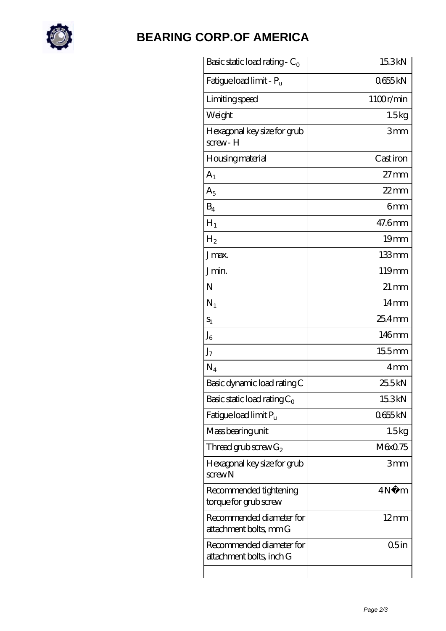

## **[BEARING CORP.OF AMERICA](https://richiecusick.com)**

| Basic static load rating - $C_0$                     | 15.3kN             |
|------------------------------------------------------|--------------------|
| Fatigue load limit - P <sub>u</sub>                  | 0655kN             |
| Limiting speed                                       | 1100r/min          |
| Weight                                               | 1.5kg              |
| Hexagonal key size for grub<br>screw-H               | 3mm                |
| Housing material                                     | Cast iron          |
| $A_1$                                                | $27 \text{mm}$     |
| $A_5$                                                | $22$ mm            |
| $B_4$                                                | 6mm                |
| $H_1$                                                | 47.6mm             |
| H <sub>2</sub>                                       | 19 <sub>mm</sub>   |
| J <sub>max</sub>                                     | 133mm              |
| Jmin.                                                | 119mm              |
| N                                                    | $21 \,\mathrm{mm}$ |
| $N_1$                                                | $14 \text{mm}$     |
| $S_1$                                                | $254$ mm           |
| $J_6$                                                | 146mm              |
| J <sub>7</sub>                                       | $155$ mm           |
| $N_4$                                                | 4 <sub>mm</sub>    |
| Basic dynamic load rating C                          | 25.5kN             |
| Basic static load rating $C_0$                       | 15.3kN             |
| Fatigue load limit $P_{\rm u}$                       | 0655kN             |
| Mass bearing unit                                    | 1.5kg              |
| Thread grub screw $G_2$                              | M6x0.75            |
| Hexagonal key size for grub<br>$s$ crew $N$          | 3mm                |
| Recommended tightening<br>torque for grub screw      | 4N<br>m            |
| Recommended diameter for<br>attachment bolts, mm G   | $12 \text{mm}$     |
| Recommended diameter for<br>attachment bolts, inch G | 05in               |
|                                                      |                    |